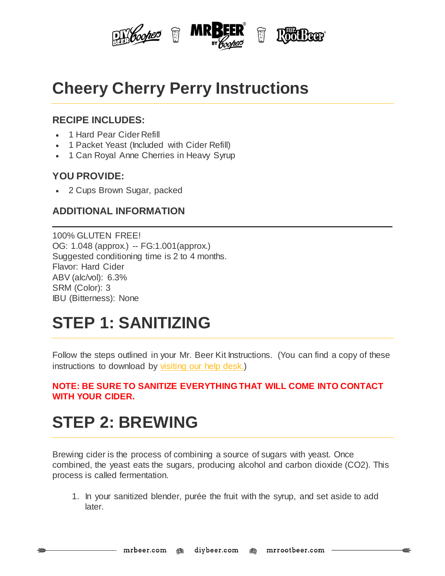

## **Cheery Cherry Perry Instructions**

#### **RECIPE INCLUDES:**

- 1 Hard Pear Cider Refill
- 1 Packet Yeast (Included with Cider Refill)
- 1 Can Royal Anne Cherries in Heavy Syrup

#### **YOU PROVIDE:**

2 Cups Brown Sugar, packed

### **ADDITIONAL INFORMATION**

100% GLUTEN FREE! OG: 1.048 (approx.) -- FG:1.001(approx.) Suggested conditioning time is 2 to 4 months. Flavor: Hard Cider ABV (alc/vol): 6.3% SRM (Color): 3 IBU (Bitterness): None

### **STEP 1: SANITIZING**

Follow the steps outlined in your Mr. Beer Kit Instructions. (You can find a copy of these instructions to download by [visiting](http://www.mrbeer.com/help) our help desk.)

#### **NOTE: BE SURE TO SANITIZE EVERYTHING THAT WILL COME INTO CONTACT WITH YOUR CIDER.**

# **STEP 2: BREWING**

Brewing cider is the process of combining a source of sugars with yeast. Once combined, the yeast eats the sugars, producing alcohol and carbon dioxide (CO2). This process is called fermentation.

1. In your sanitized blender, purée the fruit with the syrup, and set aside to add later.